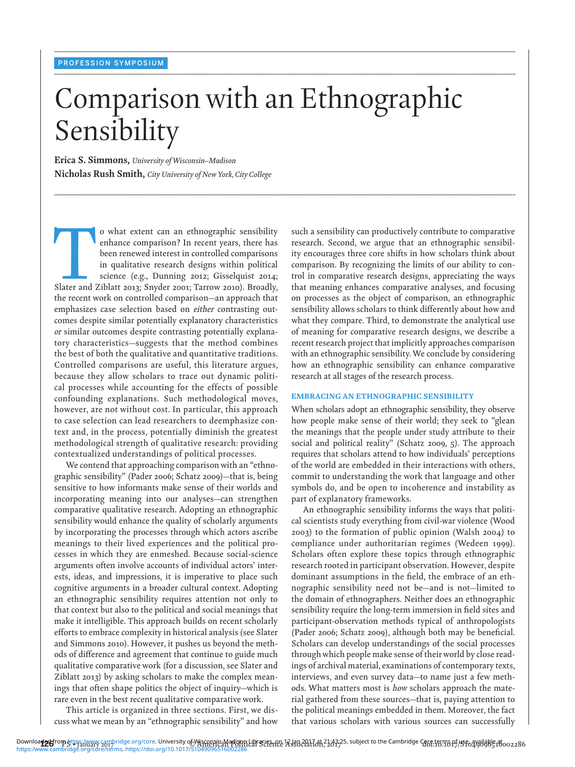# Comparison with an Ethnographic Sensibility

**........................................................................................................................................................................................................................................................................................................**

**........................................................................................................................................................................................................................................................................................................**

**........................................................................................................................................................................................................................................................................................................**

**Erica S. Simmons,** *University of Wisconsin–Madison* **Nicholas Rush Smith,** *City University of New York, City College*

o what extent can an ethnographic sensibility enhance comparison? In recent years, there has been renewed interest in controlled comparisons in qualitative research designs within political science (e.g., Dunning 2012; Gis enhance comparison? In recent years, there has been renewed interest in controlled comparisons in qualitative research designs within political science (e.g., Dunning 2012; Gisselquist 2014; the recent work on controlled comparison—an approach that emphasizes case selection based on *either* contrasting outcomes despite similar potentially explanatory characteristics *or* similar outcomes despite contrasting potentially explanatory characteristics—suggests that the method combines the best of both the qualitative and quantitative traditions. Controlled comparisons are useful, this literature argues, because they allow scholars to trace out dynamic political processes while accounting for the effects of possible confounding explanations. Such methodological moves, however, are not without cost. In particular, this approach to case selection can lead researchers to deemphasize context and, in the process, potentially diminish the greatest methodological strength of qualitative research: providing contextualized understandings of political processes.

We contend that approaching comparison with an "ethnographic sensibility" (Pader 2006; Schatz 2009)—that is, being sensitive to how informants make sense of their worlds and incorporating meaning into our analyses—can strengthen comparative qualitative research. Adopting an ethnographic sensibility would enhance the quality of scholarly arguments by incorporating the processes through which actors ascribe meanings to their lived experiences and the political processes in which they are enmeshed. Because social-science arguments often involve accounts of individual actors' interests, ideas, and impressions, it is imperative to place such cognitive arguments in a broader cultural context. Adopting an ethnographic sensibility requires attention not only to that context but also to the political and social meanings that make it intelligible. This approach builds on recent scholarly efforts to embrace complexity in historical analysis (see Slater and Simmons 2010). However, it pushes us beyond the methods of difference and agreement that continue to guide much qualitative comparative work (for a discussion, see Slater and Ziblatt 2013) by asking scholars to make the complex meanings that often shape politics the object of inquiry—which is rare even in the best recent qualitative comparative work.

This article is organized in three sections. First, we discuss what we mean by an "ethnographic sensibility" and how such a sensibility can productively contribute to comparative research. Second, we argue that an ethnographic sensibility encourages three core shifts in how scholars think about comparison. By recognizing the limits of our ability to control in comparative research designs, appreciating the ways that meaning enhances comparative analyses, and focusing on processes as the object of comparison, an ethnographic sensibility allows scholars to think differently about how and what they compare. Third, to demonstrate the analytical use of meaning for comparative research designs, we describe a recent research project that implicitly approaches comparison with an ethnographic sensibility. We conclude by considering how an ethnographic sensibility can enhance comparative research at all stages of the research process.

#### EMBRACING AN ETHNOGRAPHIC SENSIBILITY

When scholars adopt an ethnographic sensibility, they observe how people make sense of their world; they seek to "glean the meanings that the people under study attribute to their social and political reality" (Schatz 2009, 5). The approach requires that scholars attend to how individuals' perceptions of the world are embedded in their interactions with others, commit to understanding the work that language and other symbols do, and be open to incoherence and instability as part of explanatory frameworks.

An ethnographic sensibility informs the ways that political scientists study everything from civil-war violence (Wood 2003) to the formation of public opinion (Walsh 2004) to compliance under authoritarian regimes (Wedeen 1999). Scholars often explore these topics through ethnographic research rooted in participant observation. However, despite dominant assumptions in the field, the embrace of an ethnographic sensibility need not be—and is not—limited to the domain of ethnographers. Neither does an ethnographic sensibility require the long-term immersion in field sites and participant-observation methods typical of anthropologists (Pader 2006; Schatz 2009), although both may be beneficial. Scholars can develop understandings of the social processes through which people make sense of their world by close readings of archival material, examinations of contemporary texts, interviews, and even survey data—to name just a few methods. What matters most is *how* scholars approach the material gathered from these sources—that is, paying attention to the political meanings embedded in them. Moreover, the fact that various scholars with various sources can successfully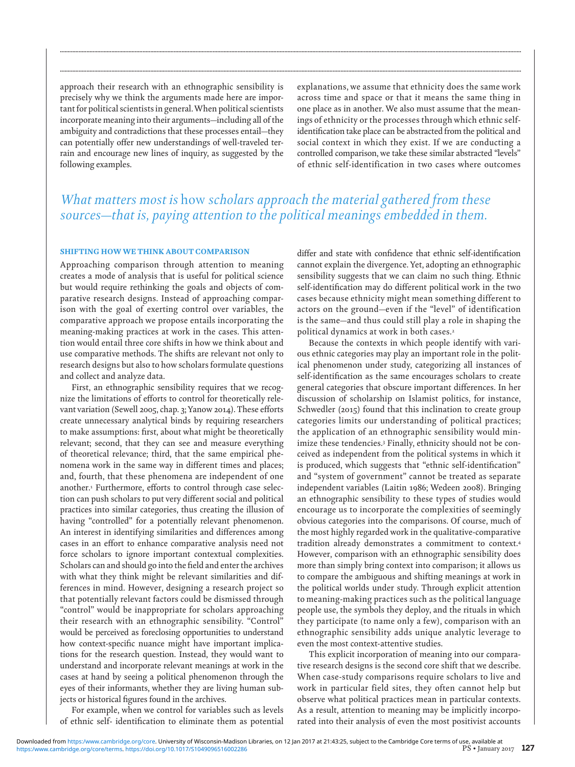approach their research with an ethnographic sensibility is precisely why we think the arguments made here are important for political scientists in general. When political scientists incorporate meaning into their arguments—including all of the ambiguity and contradictions that these processes entail—they can potentially offer new understandings of well-traveled terrain and encourage new lines of inquiry, as suggested by the following examples.

explanations, we assume that ethnicity does the same work across time and space or that it means the same thing in one place as in another. We also must assume that the meanings of ethnicity or the processes through which ethnic selfidentification take place can be abstracted from the political and social context in which they exist. If we are conducting a controlled comparison, we take these similar abstracted "levels" of ethnic self-identification in two cases where outcomes

# *What matters most is* how *scholars approach the material gathered from these sources—that is, paying attention to the political meanings embedded in them.*

**........................................................................................................................................................................................................................................................................................................**

**........................................................................................................................................................................................................................................................................................................**

## SHIFTING HOW WE THINK ABOUT COMPARISON

Approaching comparison through attention to meaning creates a mode of analysis that is useful for political science but would require rethinking the goals and objects of comparative research designs. Instead of approaching comparison with the goal of exerting control over variables, the comparative approach we propose entails incorporating the meaning-making practices at work in the cases. This attention would entail three core shifts in how we think about and use comparative methods. The shifts are relevant not only to research designs but also to how scholars formulate questions and collect and analyze data.

First, an ethnographic sensibility requires that we recognize the limitations of efforts to control for theoretically relevant variation (Sewell 2005, chap. 3; Yanow 2014). These efforts create unnecessary analytical binds by requiring researchers to make assumptions: first, about what might be theoretically relevant; second, that they can see and measure everything of theoretical relevance; third, that the same empirical phenomena work in the same way in different times and places; and, fourth, that these phenomena are independent of one another.1 Furthermore, efforts to control through case selection can push scholars to put very different social and political practices into similar categories, thus creating the illusion of having "controlled" for a potentially relevant phenomenon. An interest in identifying similarities and differences among cases in an effort to enhance comparative analysis need not force scholars to ignore important contextual complexities. Scholars can and should go into the field and enter the archives with what they think might be relevant similarities and differences in mind. However, designing a research project so that potentially relevant factors could be dismissed through "control" would be inappropriate for scholars approaching their research with an ethnographic sensibility. "Control" would be perceived as foreclosing opportunities to understand how context-specific nuance might have important implications for the research question. Instead, they would want to understand and incorporate relevant meanings at work in the cases at hand by seeing a political phenomenon through the eyes of their informants, whether they are living human subjects or historical figures found in the archives.

For example, when we control for variables such as levels of ethnic self- identification to eliminate them as potential differ and state with confidence that ethnic self-identification cannot explain the divergence. Yet, adopting an ethnographic sensibility suggests that we can claim no such thing. Ethnic self-identification may do different political work in the two cases because ethnicity might mean something different to actors on the ground—even if the "level" of identification is the same—and thus could still play a role in shaping the political dynamics at work in both cases.2

Because the contexts in which people identify with various ethnic categories may play an important role in the political phenomenon under study, categorizing all instances of self-identification as the same encourages scholars to create general categories that obscure important differences. In her discussion of scholarship on Islamist politics, for instance, Schwedler (2015) found that this inclination to create group categories limits our understanding of political practices; the application of an ethnographic sensibility would minimize these tendencies.3 Finally, ethnicity should not be conceived as independent from the political systems in which it is produced, which suggests that "ethnic self-identification" and "system of government" cannot be treated as separate independent variables (Laitin 1986; Wedeen 2008). Bringing an ethnographic sensibility to these types of studies would encourage us to incorporate the complexities of seemingly obvious categories into the comparisons. Of course, much of the most highly regarded work in the qualitative-comparative tradition already demonstrates a commitment to context.4 However, comparison with an ethnographic sensibility does more than simply bring context into comparison; it allows us to compare the ambiguous and shifting meanings at work in the political worlds under study. Through explicit attention to meaning-making practices such as the political language people use, the symbols they deploy, and the rituals in which they participate (to name only a few), comparison with an ethnographic sensibility adds unique analytic leverage to even the most context-attentive studies.

This explicit incorporation of meaning into our comparative research designs is the second core shift that we describe. When case-study comparisons require scholars to live and work in particular field sites, they often cannot help but observe what political practices mean in particular contexts. As a result, attention to meaning may be implicitly incorporated into their analysis of even the most positivist accounts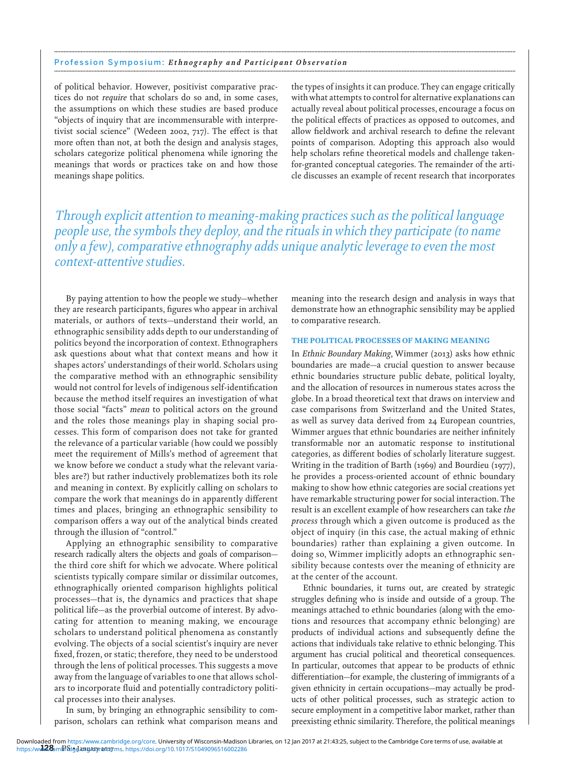#### Profession Symposium: *Ethnography and Participant Observation* **........................................................................................................................................................................................................................................................................................................**

of political behavior. However, positivist comparative practices do not *require* that scholars do so and, in some cases, the assumptions on which these studies are based produce "objects of inquiry that are incommensurable with interpretivist social science" (Wedeen 2002, 717). The effect is that more often than not, at both the design and analysis stages, scholars categorize political phenomena while ignoring the meanings that words or practices take on and how those meanings shape politics.

the types of insights it can produce. They can engage critically with what attempts to control for alternative explanations can actually reveal about political processes, encourage a focus on the political effects of practices as opposed to outcomes, and allow fieldwork and archival research to define the relevant points of comparison. Adopting this approach also would help scholars refine theoretical models and challenge takenfor-granted conceptual categories. The remainder of the article discusses an example of recent research that incorporates

*Through explicit attention to meaning-making practices such as the political language people use, the symbols they deploy, and the rituals in which they participate (to name only a few), comparative ethnography adds unique analytic leverage to even the most context-attentive studies.*

**........................................................................................................................................................................................................................................................................................................**

By paying attention to how the people we study—whether they are research participants, figures who appear in archival materials, or authors of texts—understand their world, an ethnographic sensibility adds depth to our understanding of politics beyond the incorporation of context. Ethnographers ask questions about what that context means and how it shapes actors' understandings of their world. Scholars using the comparative method with an ethnographic sensibility would not control for levels of indigenous self-identification because the method itself requires an investigation of what those social "facts" *mean* to political actors on the ground and the roles those meanings play in shaping social processes. This form of comparison does not take for granted the relevance of a particular variable (how could we possibly meet the requirement of Mills's method of agreement that we know before we conduct a study what the relevant variables are?) but rather inductively problematizes both its role and meaning in context. By explicitly calling on scholars to compare the work that meanings do in apparently different times and places, bringing an ethnographic sensibility to comparison offers a way out of the analytical binds created through the illusion of "control."

Applying an ethnographic sensibility to comparative research radically alters the objects and goals of comparison the third core shift for which we advocate. Where political scientists typically compare similar or dissimilar outcomes, ethnographically oriented comparison highlights political processes—that is, the dynamics and practices that shape political life—as the proverbial outcome of interest. By advocating for attention to meaning making, we encourage scholars to understand political phenomena as constantly evolving. The objects of a social scientist's inquiry are never fixed, frozen, or static; therefore, they need to be understood through the lens of political processes. This suggests a move away from the language of variables to one that allows scholars to incorporate fluid and potentially contradictory political processes into their analyses.

In sum, by bringing an ethnographic sensibility to comparison, scholars can rethink what comparison means and meaning into the research design and analysis in ways that demonstrate how an ethnographic sensibility may be applied to comparative research.

## THE POLITICAL PROCESSES OF MAKING MEANING

In *Ethnic Boundary Making*, Wimmer (2013) asks how ethnic boundaries are made—a crucial question to answer because ethnic boundaries structure public debate, political loyalty, and the allocation of resources in numerous states across the globe. In a broad theoretical text that draws on interview and case comparisons from Switzerland and the United States, as well as survey data derived from 24 European countries, Wimmer argues that ethnic boundaries are neither infinitely transformable nor an automatic response to institutional categories, as different bodies of scholarly literature suggest. Writing in the tradition of Barth (1969) and Bourdieu (1977), he provides a process-oriented account of ethnic boundary making to show how ethnic categories are social creations yet have remarkable structuring power for social interaction. The result is an excellent example of how researchers can take *the process* through which a given outcome is produced as the object of inquiry (in this case, the actual making of ethnic boundaries) rather than explaining a given outcome. In doing so, Wimmer implicitly adopts an ethnographic sensibility because contests over the meaning of ethnicity are at the center of the account.

Ethnic boundaries, it turns out, are created by strategic struggles defining who is inside and outside of a group. The meanings attached to ethnic boundaries (along with the emotions and resources that accompany ethnic belonging) are products of individual actions and subsequently define the actions that individuals take relative to ethnic belonging. This argument has crucial political and theoretical consequences. In particular, outcomes that appear to be products of ethnic differentiation—for example, the clustering of immigrants of a given ethnicity in certain occupations—may actually be products of other political processes, such as strategic action to secure employment in a competitive labor market, rather than preexisting ethnic similarity. Therefore, the political meanings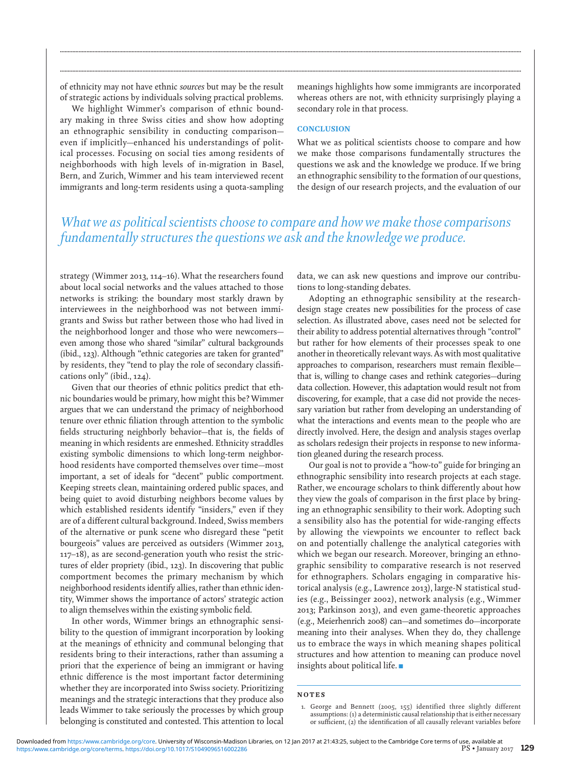of ethnicity may not have ethnic *sources* but may be the result of strategic actions by individuals solving practical problems.

We highlight Wimmer's comparison of ethnic boundary making in three Swiss cities and show how adopting an ethnographic sensibility in conducting comparison even if implicitly—enhanced his understandings of political processes. Focusing on social ties among residents of neighborhoods with high levels of in-migration in Basel, Bern, and Zurich, Wimmer and his team interviewed recent immigrants and long-term residents using a quota-sampling

meanings highlights how some immigrants are incorporated whereas others are not, with ethnicity surprisingly playing a secondary role in that process.

### **CONCLUSION**

What we as political scientists choose to compare and how we make those comparisons fundamentally structures the questions we ask and the knowledge we produce. If we bring an ethnographic sensibility to the formation of our questions, the design of our research projects, and the evaluation of our

# *What we as political scientists choose to compare and how we make those comparisons fundamentally structures the questions we ask and the knowledge we produce.*

**........................................................................................................................................................................................................................................................................................................**

**........................................................................................................................................................................................................................................................................................................**

strategy (Wimmer 2013, 114–16). What the researchers found about local social networks and the values attached to those networks is striking: the boundary most starkly drawn by interviewees in the neighborhood was not between immigrants and Swiss but rather between those who had lived in the neighborhood longer and those who were newcomers even among those who shared "similar" cultural backgrounds (ibid., 123). Although "ethnic categories are taken for granted" by residents, they "tend to play the role of secondary classifications only" (ibid., 124).

Given that our theories of ethnic politics predict that ethnic boundaries would be primary, how might this be? Wimmer argues that we can understand the primacy of neighborhood tenure over ethnic filiation through attention to the symbolic fields structuring neighborly behavior—that is, the fields of meaning in which residents are enmeshed. Ethnicity straddles existing symbolic dimensions to which long-term neighborhood residents have comported themselves over time—most important, a set of ideals for "decent" public comportment. Keeping streets clean, maintaining ordered public spaces, and being quiet to avoid disturbing neighbors become values by which established residents identify "insiders," even if they are of a different cultural background. Indeed, Swiss members of the alternative or punk scene who disregard these "petit bourgeois" values are perceived as outsiders (Wimmer 2013, 117–18), as are second-generation youth who resist the strictures of elder propriety (ibid., 123). In discovering that public comportment becomes the primary mechanism by which neighborhood residents identify allies, rather than ethnic identity, Wimmer shows the importance of actors' strategic action to align themselves within the existing symbolic field.

In other words, Wimmer brings an ethnographic sensibility to the question of immigrant incorporation by looking at the meanings of ethnicity and communal belonging that residents bring to their interactions, rather than assuming a priori that the experience of being an immigrant or having ethnic difference is the most important factor determining whether they are incorporated into Swiss society. Prioritizing meanings and the strategic interactions that they produce also leads Wimmer to take seriously the processes by which group belonging is constituted and contested. This attention to local data, we can ask new questions and improve our contributions to long-standing debates.

Adopting an ethnographic sensibility at the researchdesign stage creates new possibilities for the process of case selection. As illustrated above, cases need not be selected for their ability to address potential alternatives through "control" but rather for how elements of their processes speak to one another in theoretically relevant ways. As with most qualitative approaches to comparison, researchers must remain flexible that is, willing to change cases and rethink categories—during data collection. However, this adaptation would result not from discovering, for example, that a case did not provide the necessary variation but rather from developing an understanding of what the interactions and events mean to the people who are directly involved. Here, the design and analysis stages overlap as scholars redesign their projects in response to new information gleaned during the research process.

Our goal is not to provide a "how-to" guide for bringing an ethnographic sensibility into research projects at each stage. Rather, we encourage scholars to think differently about how they view the goals of comparison in the first place by bringing an ethnographic sensibility to their work. Adopting such a sensibility also has the potential for wide-ranging effects by allowing the viewpoints we encounter to reflect back on and potentially challenge the analytical categories with which we began our research. Moreover, bringing an ethnographic sensibility to comparative research is not reserved for ethnographers. Scholars engaging in comparative historical analysis (e.g., Lawrence 2013), large-N statistical studies (e.g., Beissinger 2002), network analysis (e.g., Wimmer 2013; Parkinson 2013), and even game-theoretic approaches (e.g., Meierhenrich 2008) can—and sometimes do—incorporate meaning into their analyses. When they do, they challenge us to embrace the ways in which meaning shapes political structures and how attention to meaning can produce novel insights about political life.  $\blacksquare$ 

#### NOTES

<sup>1.</sup> George and Bennett (2005, 155) identified three slightly different assumptions: (1) a deterministic causal relationship that is either necessary or sufficient, (2) the identification of all causally relevant variables before